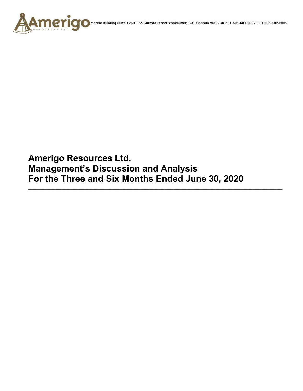

**Amerigo Resources Ltd. Management's Discussion and Analysis For the Three and Six Months Ended June 30, 2020** 

**\_\_\_\_\_\_\_\_\_\_\_\_\_\_\_\_\_\_\_\_\_\_\_\_\_\_\_\_\_\_\_\_\_\_\_\_\_\_\_\_\_\_\_\_\_\_\_\_\_\_\_\_\_\_\_\_\_\_\_\_\_\_\_\_\_\_\_\_\_\_\_\_\_\_\_\_\_\_\_\_\_\_\_\_**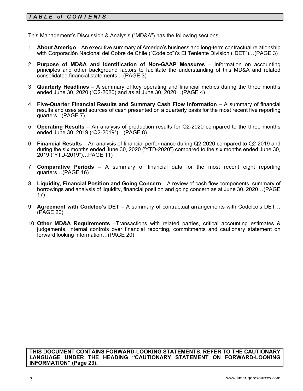# *T A B L E of C O N T E NT S*

This Management's Discussion & Analysis ("MD&A") has the following sections:

- 1. **About Amerigo**  An executive summary of Amerigo's business and long-term contractual relationship with Corporación Nacional del Cobre de Chile ("Codelco")'s El Teniente Division ("DET")…(PAGE 3)
- 2. **Purpose of MD&A and Identification of Non-GAAP Measures**  Information on accounting principles and other background factors to facilitate the understanding of this MD&A and related consolidated financial statements... (PAGE 3)
- 3. **Quarterly Headlines** A summary of key operating and financial metrics during the three months ended June 30, 2020 ("Q2-2020) and as at June 30, 2020…(PAGE 4)
- 4. **Five-Quarter Financial Results and Summary Cash Flow Information**  A summary of financial results and uses and sources of cash presented on a quarterly basis for the most recent five reporting quarters...(PAGE 7)
- 5. **Operating Results** An analysis of production results for Q2-2020 compared to the three months ended June 30, 2019 ("Q2-2019")…(PAGE 8)
- 6. **Financial Results**  An analysis of financial performance during Q2-2020 compared to Q2-2019 and during the six months ended June 30, 2020 ('YTD-2020") compared to the six months ended June 30, 2019 ("YTD-2019")…PAGE 11)
- 7. **Comparative Periods** A summary of financial data for the most recent eight reporting quarters…(PAGE 16)
- 8. **Liquidity, Financial Position and Going Concern** A review of cash flow components, summary of borrowings and analysis of liquidity, financial position and going concern as at June 30, 2020…(PAGE 17)
- 9. **Agreement with Codelco's DET** A summary of contractual arrangements with Codelco's DET… (PAGE 20)
- 10. **Other MD&A Requirements** –Transactions with related parties, critical accounting estimates & judgements, internal controls over financial reporting, commitments and cautionary statement on forward looking information…(PAGE 20)

**THIS DOCUMENT CONTAINS FORWARD-LOOKING STATEMENTS. REFER TO THE CAUTIONARY LANGUAGE UNDER THE HEADING "CAUTIONARY STATEMENT ON FORWARD-LOOKING INFORMATION" (Page 23).**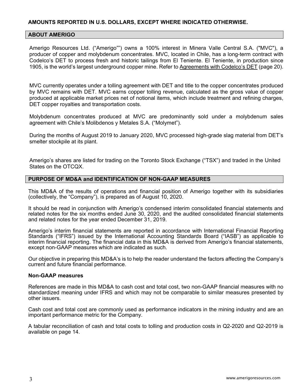## **AMOUNTS REPORTED IN U.S. DOLLARS, EXCEPT WHERE INDICATED OTHERWISE.**

#### **ABOUT AMERIGO**

Amerigo Resources Ltd. ("Amerigo"") owns a 100% interest in Minera Valle Central S.A. ("MVC"), a producer of copper and molybdenum concentrates. MVC, located in Chile, has a long-term contract with Codelco's DET to process fresh and historic tailings from El Teniente. El Teniente, in production since 1905, is the world's largest underground copper mine. Refer to Agreements with Codelco's DET (page 20).

MVC currently operates under a tolling agreement with DET and title to the copper concentrates produced by MVC remains with DET. MVC earns copper tolling revenue, calculated as the gross value of copper produced at applicable market prices net of notional items, which include treatment and refining charges, DET copper royalties and transportation costs.

Molybdenum concentrates produced at MVC are predominantly sold under a molybdenum sales agreement with Chile's Molibdenos y Metales S.A. ("Molymet").

During the months of August 2019 to January 2020, MVC processed high-grade slag material from DET's smelter stockpile at its plant.

Amerigo's shares are listed for trading on the Toronto Stock Exchange ("TSX") and traded in the United States on the OTCQX.

#### **PURPOSE OF MD&A and IDENTIFICATION OF NON-GAAP MEASURES**

This MD&A of the results of operations and financial position of Amerigo together with its subsidiaries (collectively, the "Company"), is prepared as of August 10, 2020.

It should be read in conjunction with Amerigo's condensed interim consolidated financial statements and related notes for the six months ended June 30, 2020, and the audited consolidated financial statements and related notes for the year ended December 31, 2019.

Amerigo's interim financial statements are reported in accordance with International Financial Reporting Standards ("IFRS") issued by the International Accounting Standards Board ("IASB") as applicable to interim financial reporting. The financial data in this MD&A is derived from Amerigo's financial statements, except non-GAAP measures which are indicated as such.

Our objective in preparing this MD&A's is to help the reader understand the factors affecting the Company's current and future financial performance.

#### **Non-GAAP measures**

References are made in this MD&A to cash cost and total cost, two non-GAAP financial measures with no standardized meaning under IFRS and which may not be comparable to similar measures presented by other issuers.

Cash cost and total cost are commonly used as performance indicators in the mining industry and are an important performance metric for the Company.

A tabular reconciliation of cash and total costs to tolling and production costs in Q2-2020 and Q2-2019 is available on page 14.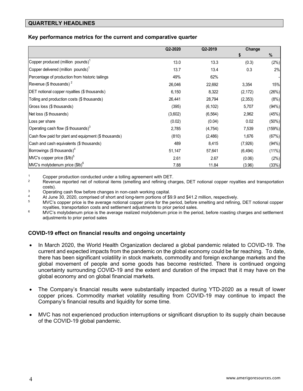## **QUARTERLY HEADLINES**

#### **Key performance metrics for the current and comparative quarter**

|                                                       | Q2-2020 | Q2-2019  | Change   |        |
|-------------------------------------------------------|---------|----------|----------|--------|
|                                                       |         |          | 5        | $\%$   |
| Copper produced (million pounds) <sup>1</sup>         | 13.0    | 13.3     | (0.3)    | (2%)   |
| Copper delivered (million pounds) <sup>1</sup>        | 13.7    | 13.4     | 0.3      | 2%     |
| Percentage of production from historic tailings       | 49%     | 62%      |          |        |
| Revenue (\$ thousands) $2^2$                          | 26,046  | 22,692   | 3,354    | 15%    |
| DET notional copper royalties (\$ thousands)          | 6,150   | 8,322    | (2, 172) | (26%)  |
| Tolling and production costs (\$ thousands)           | 26,441  | 28,794   | (2,353)  | (8%)   |
| Gross loss (\$ thousands)                             | (395)   | (6, 102) | 5,707    | (94%)  |
| Net loss (\$ thousands)                               | (3,602) | (6, 564) | 2,962    | (45%)  |
| Loss per share                                        | (0.02)  | (0.04)   | 0.02     | (50%)  |
| Operating cash flow (\$ thousands) $3$                | 2,785   | (4, 754) | 7,539    | (159%) |
| Cash flow paid for plant and equipment (\$ thousands) | (810)   | (2,486)  | 1,676    | (67%)  |
| Cash and cash equivalents (\$ thousands)              | 489     | 8,415    | (7,926)  | (94%)  |
| Borrowings $($$ thousands) <sup>4</sup>               | 51,147  | 57,641   | (6, 494) | (11%)  |
| MVC's copper price (\$/lb) <sup>5</sup>               | 2.61    | 2.67     | (0.06)   | (2%)   |
| $M/C's$ molybdenum price $$I\!B)6$                    | 7.88    | 11.84    | (3.96)   | (33%)  |

- 1 Copper production conducted under a tolling agreement with DET.<br><sup>2</sup> Revenue reported net of notional items (smelting and refining charges, DET notional copper royalties and transportation
- costs).<br><sup>3</sup> Operating cash flow before changes in non-cash working capital.<br><sup>4</sup> At line <sup>20, 2020, comprised of short and lang term pertience of <sup>eq</sup></sup>
- 
- 4 At June 30, 2020, comprised of short and long-term portions of \$9.9 and \$41.2 million, respectively.<br><sup>5</sup> MVC's copper price is the average notional copper price for the period, before smelting and refining, DET notional royalties, transportation costs and settlement adjustments to prior period sales.<br><sup>6</sup> MVC's molybdenum price is the average realized molybdenum price in the period, before roasting charges and settlement
- adjustments to prior period sales

## **COVID-19 effect on financial results and ongoing uncertainty**

- In March 2020, the World Health Organization declared a global pandemic related to COVID-19. The current and expected impacts from the pandemic on the global economy could be far reaching. To date, there has been significant volatility in stock markets, commodity and foreign exchange markets and the global movement of people and some goods has become restricted. There is continued ongoing uncertainty surrounding COVID-19 and the extent and duration of the impact that it may have on the global economy and on global financial markets.
- The Company's financial results were substantially impacted during YTD-2020 as a result of lower copper prices. Commodity market volatility resulting from COVID-19 may continue to impact the Company's financial results and liquidity for some time.
- MVC has not experienced production interruptions or significant disruption to its supply chain because of the COVID-19 global pandemic.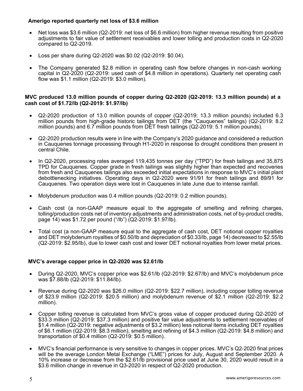### **Amerigo reported quarterly net loss of \$3.6 million**

- Net loss was \$3.6 million (Q2-2019: net loss of \$6.6 million) from higher revenue resulting from positive adjustments to fair value of settlement receivables and lower tolling and production costs in Q2-2020 compared to Q2-2019.
- Loss per share during Q2-2020 was \$0.02 (Q2-2019: \$0.04).
- The Company generated \$2.8 million in operating cash flow before changes in non-cash working capital in Q2-2020 (Q2-2019: used cash of \$4.8 million in operations). Quarterly net operating cash flow was \$1.1 million (Q2-2019: \$3.0 million).

#### **MVC produced 13.0 million pounds of copper during Q2-2020 (Q2-2019: 13.3 million pounds) at a cash cost of \$1.72/lb (Q2-2019: \$1.97/lb)**

- Q2-2020 production of 13.0 million pounds of copper (Q2-2019: 13.3 million pounds) included 6.3 million pounds from high-grade historic tailings from DET (the "Cauquenes" tailings) (Q2-2019: 8.2 million pounds) and 6.7 million pounds from DET fresh tailings (Q2-2019: 5.1 million pounds).
- Q2-2020 production results were in line with the Company's 2020 guidance and considered a reduction in Cauquenes tonnage processing through H1-2020 in response to drought conditions then present in central Chile.
- In Q2-2020, processing rates averaged 119,435 tonnes per day ("TPD") for fresh tailings and 35,875 TPD for Cauquenes. Copper grade in fresh tailings was slightly higher than expected and recoveries from fresh and Cauquenes tailings also exceeded initial expectations in response to MVC's initial plant debottlenecking initiatives. Operating days in Q2-2020 were 91/91 for fresh tailings and 89/91 for Cauquenes. Two operation days were lost in Cauquenes in late June due to intense rainfall.
- Molybdenum production was 0.4 million pounds (Q2-2019: 0.2 million pounds).
- Cash cost (a non-GAAP measure equal to the aggregate of smelting and refining charges, tolling/production costs net of inventory adjustments and administration costs, net of by-product credits, page 14) was \$1.72 per pound ("/lb") (Q2-2019: \$1.97/lb).
- Total cost (a non-GAAP measure equal to the aggregate of cash cost, DET notional copper royalties and DET molybdenum royalties of \$0.50/lb and depreciation of \$0.33/lb, page 14) decreased to \$2.55/lb (Q2-2019: \$2.95/lb), due to lower cash cost and lower DET notional royalties from lower metal prices.

#### **MVC's average copper price in Q2-2020 was \$2.61/lb**

- During Q2-2020, MVC's copper price was \$2.61/lb (Q2-2019: \$2.67/lb) and MVC's molybdenum price was \$7.88/lb (Q2-2019: \$11.84/lb).
- Revenue during Q2-2020 was \$26.0 million (Q2-2019: \$22.7 million), including copper tolling revenue of \$23.9 million (Q2-2019: \$20.5 million) and molybdenum revenue of \$2.1 million (Q2-2019: \$2.2 million).
- Copper tolling revenue is calculated from MVC's gross value of copper produced during Q2-2020 of \$33.3 million (Q2-2019: \$37.3 million) and positive fair value adjustments to settlement receivables of \$1.4 million (Q2-2019: negative adjustments of \$3.2 million) less notional items including DET royalties of \$6.1 million (Q2-2019: \$8.3 million), smelting and refining of \$4.3 million (Q2-2019: \$4.8 million) and transportation of \$0.4 million (Q2-2019: \$0.5 million).
- MVC's financial performance is very sensitive to changes in copper prices. MVC's Q2-2020 final prices will be the average London Metal Exchange ("LME") prices for July, August and September 2020. A 10% increase or decrease from the \$2.61/lb provisional price used at June 30, 2020 would result in a \$3.6 million change in revenue in Q3-2020 in respect of Q2-2020 production.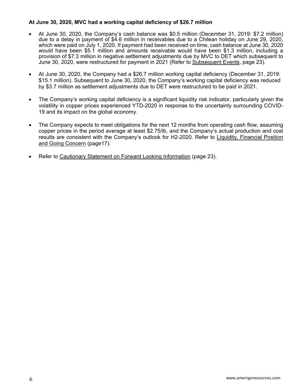## **At June 30, 2020, MVC had a working capital deficiency of \$26.7 million**

- At June 30, 2020, the Company's cash balance was \$0.5 million (December 31, 2019: \$7.2 million) due to a delay in payment of \$4.6 million in receivables due to a Chilean holiday on June 29, 2020, which were paid on July 1, 2020. If payment had been received on time, cash balance at June 30, 2020 would have been \$5.1 million and amounts receivable would have been \$1.3 million, including a provision of \$7.3 million in negative settlement adjustments due by MVC to DET which subsequent to June 30, 2020, were restructured for payment in 2021 (Refer to Subsequent Events, page 23).
- At June 30, 2020, the Company had a \$26.7 million working capital deficiency (December 31, 2019: \$15.1 million). Subsequent to June 30, 2020, the Company's working capital deficiency was reduced by \$3.7 million as settlement adjustments due to DET were restructured to be paid in 2021.
- The Company's working capital deficiency is a significant liquidity risk indicator, particularly given the volatility in copper prices experienced YTD-2020 in response to the uncertainty surrounding COVID-19 and its impact on the global economy.
- The Company expects to meet obligations for the next 12 months from operating cash flow, assuming copper prices in the period average at least \$2.75/lb, and the Company's actual production and cost results are consistent with the Company's outlook for H2-2020. Refer to Liquidity, Financial Position and Going Concern (page17).
- Refer to Cautionary Statement on Forward Looking Information (page 23).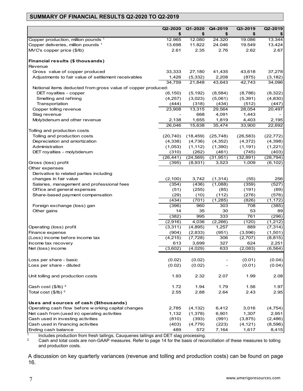# **SUMMARY OF FINANCIAL RESULTS Q2-2020 TO Q2-2019**

|                                                              | Q2-2020<br>\$      | Q1-2020<br>\$        | Q4-2019<br>\$      | Q3-2019<br>\$      | Q2-2019               |
|--------------------------------------------------------------|--------------------|----------------------|--------------------|--------------------|-----------------------|
| Copper production, million pounds 1                          | 12.965             | 12.080               | 24.320             | 19.086             | \$<br>13.344          |
| Copper deliveries, million pounds 1                          | 13.698             | 11.822               | 24.046             | 19.549             | 13.424                |
| MVC's copper price (\$/lb)                                   | 2.61               | 2.35                 | 2.76               | 2.62               | 2.67                  |
|                                                              |                    |                      |                    |                    |                       |
| Financial results (\$ thousands)                             |                    |                      |                    |                    |                       |
| Revenue                                                      |                    |                      |                    |                    |                       |
| Gross value of copper produced                               | 33,333             | 27,180               | 41,435             | 43,618             | 37,278                |
| Adjustments to fair value of settlement receivables          | 1,426              | (5, 332)             | 2,208              | (875)              | (3, 182)              |
|                                                              | 34,759             | 21,848               | 43,643             | 42,743             | 34,096                |
| Notional items deducted from gross value of copper produced: |                    |                      |                    |                    |                       |
| DET royalties - copper                                       | (6, 150)           | (5, 192)             | (8, 584)           | (8,786)            | (8,322)               |
| Smelting and refining                                        | (4,257)            | (3,023)              | (5,061)            | (5, 391)           | (4,830)               |
| Transportation                                               | (444)              | (318)                | (434)              | (512)              | (447)                 |
| Copper tolling revenue                                       | 23,908             | 13,315               | 29,564             | 28,054             | 20,497                |
| Slag revenue                                                 |                    | 668                  | 4,091              | 1,443              |                       |
| Molybdenum and other revenue                                 | 2,138              | 1,655                | 1,819              | 4,403              | 2,195                 |
|                                                              | 26,046             | 15,638               | 35,474             | 33,900             | 22,692                |
| Tolling and production costs                                 |                    |                      |                    |                    |                       |
| Tolling and production costs                                 | (20, 740)          | (18, 459)            | (25, 748)          | (26, 583)          | (22, 772)             |
| Depreciation and amortization                                | (4,338)            | (4,736)              | (4,352)            | (4,372)            | (4,398)               |
| Administration                                               | (1,053)            | (1, 112)             | (1,390)            | (1, 191)           | (1,221)               |
| DET royalties - molybdenum                                   | (310)              | (262)                | (461)              | (745)              | (403)                 |
| Gross (loss) profit                                          | (26, 441)<br>(395) | (24, 569)<br>(8,931) | (31, 951)<br>3,523 | (32, 891)<br>1,009 | (28, 794)<br>(6, 102) |
| Other expenses                                               |                    |                      |                    |                    |                       |
| Derivative to related parties including                      |                    |                      |                    |                    |                       |
| changes in fair value                                        | (2,100)            | 3,742                | (1, 314)           | (55)               | 256                   |
| Salaries, management and professional fees                   | (354)              | (436)                | (1,088)            | (359)              | (527)                 |
| Office and general expenses                                  | (51)               | (255)                | (85)               | (191)              | (69)                  |
| Share-based payment compensation                             | (29)               | (10)                 | (112)              | (276)              | (576)                 |
|                                                              | (434)              | (701)                | (1,285)            | (826)              | (1, 172)              |
| Foreign exchange (loss) gan                                  | (396)              | 960                  | 303                | 708                | (385)                 |
| Other gains                                                  | 14                 | 35                   | 30                 | 53                 | 89                    |
|                                                              | (382)              | 995                  | 333                | 761                | (296)                 |
|                                                              | (2,916)            | 4,036                | (2,266)            | (120)              | (1,212)               |
| Operating (loss) profit                                      | (3,311)            | (4,895)              | 1,257              | 889                | (7, 314)              |
| Finance expense                                              | (904)              | (2,833)              | (951)              | (3,596)            | (1,501)               |
| (Loss) income before income tax                              | (4, 215)           | (7, 728)             | 306                | (2,707)            | (8, 815)              |
| Income tax recovery                                          | 613                | 3,699                | 327                | 624                | 2,251                 |
| Net (loss) income                                            | (3,602)            | (4,029)              | 633                | (2,083)            | (6, 564)              |
|                                                              |                    |                      |                    |                    |                       |
| Loss per share - basic                                       | (0.02)             | (0.02)               |                    | (0.01)             | (0.04)                |
| Loss per share - diluted                                     | (0.02)             | (0.02)               |                    | (0.01)             | (0.04)                |
|                                                              |                    |                      |                    |                    |                       |
| Unit tolling and production costs                            | 1.93               | 2.32                 | 2.07               | 1.99               | 2.08                  |
|                                                              |                    |                      |                    |                    |                       |
| Cash cost $(\$/IB)^2$                                        | 1.72               | 1.94                 | 1.79               | 1.56               | 1.97                  |
| Total cost $($/lb)^2$                                        | 2.55               | 2.88                 | 2.64               | 2.43               | 2.95                  |
| Uses and sources of cash (\$thousands)                       |                    |                      |                    |                    |                       |
| Operating cash flow before w orking capital changes          | 2,785              | (4, 132)             | 6,412              | 3,016              | (4, 754)              |
| Net cash from (used in) operating activities                 | 1,132              | (1,378)              | 6,901              | 1,307              | 2,951                 |
| Cash used in investing activities                            | (810)              | (393)                | (991)              | (3,875)            | (2,486)               |
| Cash used in financing activities                            | (403)              | (4, 779)             | (223)              | (4, 121)           | (8,596)               |
| Ending cash balance                                          | 489                | 572                  | 7,164              | 1,617              | 8,415                 |

 $\frac{1}{1}$  Includes production from fresh tailings, Cauquenes tailings and DET slag processing.<br>  $\frac{2}{1}$  Cash and total costs are non-GAAP measures. Refer to page 14 for the basis of reco

2 Cash and total costs are non-GAAP measures. Refer to page 14 for the basis of reconciliation of these measures to tolling and production costs.

A discussion on key quarterly variances (revenue and tolling and production costs) can be found on page 16.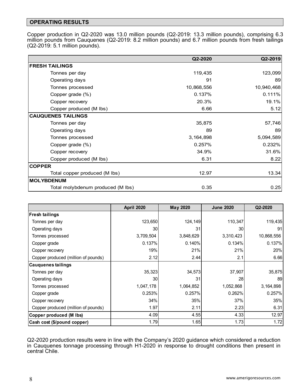## **OPERATING RESULTS**

Copper production in Q2-2020 was 13.0 million pounds (Q2-2019: 13.3 million pounds), comprising 6.3 million pounds from Cauquenes (Q2-2019: 8.2 million pounds) and 6.7 million pounds from fresh tailings (Q2-2019: 5.1 million pounds).

|                                   | Q2-2020    | Q2-2019    |
|-----------------------------------|------------|------------|
| <b>FRESH TAILINGS</b>             |            |            |
| Tonnes per day                    | 119,435    | 123,099    |
| Operating days                    | 91         | 89         |
| Tonnes processed                  | 10,868,556 | 10,940,468 |
| Copper grade (%)                  | 0.137%     | 0.111%     |
| Copper recovery                   | 20.3%      | 19.1%      |
| Copper produced (M lbs)           | 6.66       | 5.12       |
| <b>CAUQUENES TAILINGS</b>         |            |            |
| Tonnes per day                    | 35,875     | 57,746     |
| Operating days                    | 89         | 89         |
| Tonnes processed                  | 3,164,898  | 5,094,589  |
| Copper grade (%)                  | 0.257%     | 0.232%     |
| Copper recovery                   | 34.9%      | 31.6%      |
| Copper produced (M lbs)           | 6.31       | 8.22       |
| <b>COPPER</b>                     |            |            |
| Total copper produced (M lbs)     | 12.97      | 13.34      |
| <b>MOLYBDENUM</b>                 |            |            |
| Total molybdenum produced (M lbs) | 0.35       | 0.25       |

|                                     | <b>April 2020</b> | <b>May 2020</b> | <b>June 2020</b> | Q2-2020    |
|-------------------------------------|-------------------|-----------------|------------------|------------|
| <b>Fresh tailings</b>               |                   |                 |                  |            |
| Tonnes per day                      | 123,650           | 124,149         | 110,347          | 119,435    |
| Operating days                      | 30                | 31              | 30               | 91         |
| Tonnes processed                    | 3,709,504         | 3,848,629       | 3,310,423        | 10,868,556 |
| Copper grade                        | 0.137%            | 0.140%          | 0.134%           | 0.137%     |
| Copper recovery                     | 19%               | 21%             | 21%              | 20%        |
| Copper produced (million of pounds) | 2.12              | 2.44            | 2.1              | 6.66       |
| <b>Cauquenes tailings</b>           |                   |                 |                  |            |
| Tonnes per day                      | 35,323            | 34,573          | 37,907           | 35,875     |
| Operating days                      | 30                | 31              | 28               | 89         |
| Tonnes processed                    | 1,047,178         | 1,064,852       | 1,052,868        | 3,164,898  |
| Copper grade                        | 0.253%            | 0.257%          | 0.262%           | 0.257%     |
| Copper recovery                     | 34%               | 35%             | 37%              | 35%        |
| Copper produced (million of pounds) | 1.97              | 2.11            | 2.23             | 6.31       |
| Copper produced (M lbs)             | 4.09              | 4.55            | 4.33             | 12.97      |
| Cash cost (\$/pound copper)         | 1.79              | 1.65            | 1.73             | 1.72       |

Q2-2020 production results were in line with the Company's 2020 guidance which considered a reduction in Cauquenes tonnage processing through H1-2020 in response to drought conditions then present in central Chile.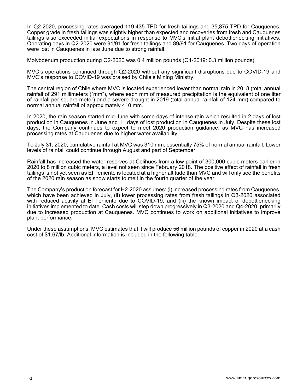In Q2-2020, processing rates averaged 119,435 TPD for fresh tailings and 35,875 TPD for Cauquenes. Copper grade in fresh tailings was slightly higher than expected and recoveries from fresh and Cauquenes tailings also exceeded initial expectations in response to MVC's initial plant debottlenecking initiatives. Operating days in Q2-2020 were 91/91 for fresh tailings and 89/91 for Cauquenes. Two days of operation were lost in Cauquenes in late June due to strong rainfall.

Molybdenum production during Q2-2020 was 0.4 million pounds (Q1-2019: 0.3 million pounds).

MVC's operations continued through Q2-2020 without any significant disruptions due to COVID-19 and MVC's response to COVID-19 was praised by Chile's Mining Ministry.

The central region of Chile where MVC is located experienced lower than normal rain in 2018 (total annual rainfall of 291 millimeters ("mm"), where each mm of measured precipitation is the equivalent of one liter of rainfall per square meter) and a severe drought in 2019 (total annual rainfall of 124 mm) compared to normal annual rainfall of approximately 410 mm.

In 2020, the rain season started mid-June with some days of intense rain which resulted in 2 days of lost production in Cauquenes in June and 11 days of lost production in Cauquenes in July. Despite these lost days, the Company continues to expect to meet 2020 production guidance, as MVC has increased processing rates at Cauquenes due to higher water availability.

To July 31, 2020, cumulative rainfall at MVC was 310 mm, essentially 75% of normal annual rainfall. Lower levels of rainfall could continue through August and part of September.

Rainfall has increased the water reserves at Colihues from a low point of 300,000 cubic meters earlier in 2020 to 8 million cubic meters, a level not seen since February 2018. The positive effect of rainfall in fresh tailings is not yet seen as El Teniente is located at a higher altitude than MVC and will only see the benefits of the 2020 rain season as snow starts to melt in the fourth quarter of the year.

The Company's production forecast for H2-2020 assumes: (i) increased processing rates from Cauquenes, which have been achieved in July, (ii) lower processing rates from fresh tailings in Q3-2020 associated with reduced activity at El Teniente due to COVID-19, and (iii) the known impact of debottlenecking initiatives implemented to date. Cash costs will step down progressively in Q3-2020 and Q4-2020, primarily due to increased production at Cauquenes. MVC continues to work on additional initiatives to improve plant performance.

Under these assumptions, MVC estimates that it will produce 56 million pounds of copper in 2020 at a cash cost of \$1.67/lb. Additional information is included in the following table.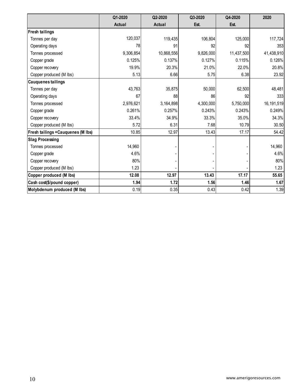|                                   | Q1-2020   | Q2-2020       | Q3-2020   | Q4-2020    | 2020         |
|-----------------------------------|-----------|---------------|-----------|------------|--------------|
|                                   | Actual    | <b>Actual</b> | Est.      | Est.       |              |
| <b>Fresh tailings</b>             |           |               |           |            |              |
| Tonnes per day                    | 120,037   | 119,435       | 106,804   | 125,000    | 117,724      |
| Operating days                    | 78        | 91            | 92        | 92         | 353          |
| Tonnes processed                  | 9,306,854 | 10,868,556    | 9,826,000 | 11,437,500 | 41,438,910   |
| Copper grade                      | 0.125%    | 0.137%        | 0.127%    | 0.115%     | 0.126%       |
| Copper recovery                   | 19.9%     | 20.3%         | 21.0%     | 22.0%      | 20.8%        |
| Copper produced (M lbs)           | 5.13      | 6.66          | 5.75      | 6.38       | 23.92        |
| <b>Cauquenes tailings</b>         |           |               |           |            |              |
| Tonnes per day                    | 43,763    | 35,875        | 50,000    | 62,500     | 48,481       |
| Operating days                    | 67        | 88            | 86        | 92         | 333          |
| Tonnes processed                  | 2,976,621 | 3,164,898     | 4,300,000 | 5,750,000  | 16, 191, 519 |
| Copper grade                      | 0.261%    | 0.257%        | 0.243%    | 0.243%     | 0.249%       |
| Copper recovery                   | 33.4%     | 34.9%         | 33.3%     | 35.0%      | 34.3%        |
| Copper produced (M lbs)           | 5.72      | 6.31          | 7.68      | 10.79      | 30.50        |
| Fresh tailings +Cauquenes (M lbs) | 10.85     | 12.97         | 13.43     | 17.17      | 54.42        |
| <b>Slag Processing</b>            |           |               |           |            |              |
| Tonnes processed                  | 14,960    |               |           |            | 14,960       |
| Copper grade                      | 4.6%      |               |           |            | 4.6%         |
| Copper recovery                   | 80%       |               |           |            | 80%          |
| Copper produced (M lbs)           | 1.23      |               |           |            | 1.23         |
| Copper produced (M lbs)           | 12.08     | 12.97         | 13.43     | 17.17      | 55.65        |
| Cash cost(\$/pound copper)        | 1.94      | 1.72          | 1.56      | 1.46       | 1.67         |
| Molybdenum produced (M lbs)       | 0.19      | 0.35          | 0.43      | 0.42       | 1.39         |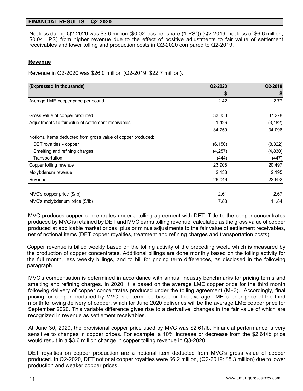### **FINANCIAL RESULTS – Q2-2020**

Net loss during Q2-2020 was \$3.6 million (\$0.02 loss per share ("LPS")) (Q2-2019: net loss of \$6.6 million; \$0.04 LPS) from higher revenue due to the effect of positive adjustments to fair value of settlement receivables and lower tolling and production costs in Q2-2020 compared to Q2-2019.

#### **Revenue**

Revenue in Q2-2020 was \$26.0 million (Q2-2019: \$22.7 million).

| (Expressed in thousands)                                     | Q2-2020  | Q2-2019  |
|--------------------------------------------------------------|----------|----------|
|                                                              |          |          |
| Average LME copper price per pound                           | 2.42     | 2.77     |
| Gross value of copper produced                               | 33,333   | 37,278   |
| Adjustments to fair value of settlement receivables          | 1,426    | (3, 182) |
|                                                              | 34,759   | 34,096   |
| Notional items deducted from gross value of copper produced: |          |          |
| DET royalties - copper                                       | (6, 150) | (8, 322) |
| Smelting and refining charges                                | (4, 257) | (4, 830) |
| Transportation                                               | (444)    | (447)    |
| Copper tolling revenue                                       | 23,908   | 20,497   |
| Molybdenum revenue                                           | 2,138    | 2,195    |
| Revenue                                                      | 26,046   | 22,692   |
| MVC's copper price (\$/lb)                                   | 2.61     | 2.67     |
| MVC's molybdenum price (\$/lb)                               | 7.88     | 11.84    |

MVC produces copper concentrates under a tolling agreement with DET. Title to the copper concentrates produced by MVC is retained by DET and MVC earns tolling revenue, calculated as the gross value of copper produced at applicable market prices, plus or minus adjustments to the fair value of settlement receivables, net of notional items (DET copper royalties, treatment and refining charges and transportation costs).

Copper revenue is billed weekly based on the tolling activity of the preceding week, which is measured by the production of copper concentrates. Additional billings are done monthly based on the tolling activity for the full month, less weekly billings, and to bill for pricing term differences, as disclosed in the following paragraph.

MVC's compensation is determined in accordance with annual industry benchmarks for pricing terms and smelting and refining charges. In 2020, it is based on the average LME copper price for the third month following delivery of copper concentrates produced under the tolling agreement (M+3). Accordingly, final pricing for copper produced by MVC is determined based on the average LME copper price of the third month following delivery of copper, which for June 2020 deliveries will be the average LME copper price for September 2020. This variable difference gives rise to a derivative, changes in the fair value of which are recognized in revenue as settlement receivables.

At June 30, 2020, the provisional copper price used by MVC was \$2.61/lb. Financial performance is very sensitive to changes in copper prices. For example, a 10% increase or decrease from the \$2.61/lb price would result in a \$3.6 million change in copper tolling revenue in Q3-2020.

DET royalties on copper production are a notional item deducted from MVC's gross value of copper produced. In Q2-2020, DET notional copper royalties were \$6.2 million, (Q2-2019: \$8.3 million) due to lower production and weaker copper prices.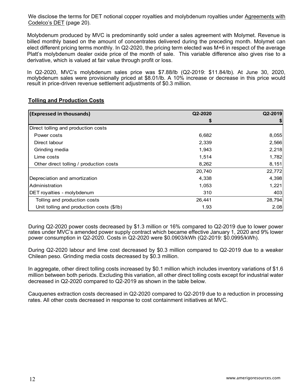We disclose the terms for DET notional copper royalties and molybdenum royalties under Agreements with Codelco's DET (page 20).

Molybdenum produced by MVC is predominantly sold under a sales agreement with Molymet. Revenue is billed monthly based on the amount of concentrates delivered during the preceding month. Molymet can elect different pricing terms monthly. In Q2-2020, the pricing term elected was M+6 in respect of the average Platt's molybdenum dealer oxide price of the month of sale. This variable difference also gives rise to a derivative, which is valued at fair value through profit or loss.

In Q2-2020, MVC's molybdenum sales price was \$7.88/lb (Q2-2019: \$11.84/lb). At June 30, 2020, molybdenum sales were provisionally priced at \$8.01/lb. A 10% increase or decrease in this price would result in price-driven revenue settlement adjustments of \$0.3 million.

| (Expressed in thousands)                  | Q2-2020 | Q2-2019 |
|-------------------------------------------|---------|---------|
|                                           | S       |         |
| Direct tolling and production costs       |         |         |
| Power costs                               | 6,682   | 8,055   |
| Direct labour                             | 2,339   | 2,566   |
| Grinding media                            | 1,943   | 2,218   |
| Lime costs                                | 1,514   | 1,782   |
| Other direct tolling / production costs   | 8,262   | 8,151   |
|                                           | 20,740  | 22,772  |
| Depreciation and amortization             | 4,338   | 4,398   |
| <b>Administration</b>                     | 1,053   | 1,221   |
| <b>DET</b> royalties - molybdenum         | 310     | 403     |
| Tolling and production costs              | 26,441  | 28,794  |
| Unit tolling and production costs (\$/lb) | 1.93    | 2.08    |

# **Tolling and Production Costs**

During Q2-2020 power costs decreased by \$1.3 million or 16% compared to Q2-2019 due to lower power rates under MVC's amended power supply contract which became effective January 1, 2020 and 9% lower power consumption in Q2-2020. Costs in Q2-2020 were \$0.0903/kWh (Q2-2019: \$0.0995/kWh).

During Q2-2020 labour and lime cost decreased by \$0.3 million compared to Q2-2019 due to a weaker Chilean peso. Grinding media costs decreased by \$0.3 million.

In aggregate, other direct tolling costs increased by \$0.1 million which includes inventory variations of \$1.6 million between both periods. Excluding this variation, all other direct tolling costs except for industrial water decreased in Q2-2020 compared to Q2-2019 as shown in the table below.

Cauquenes extraction costs decreased in Q2-2020 compared to Q2-2019 due to a reduction in processing rates. All other costs decreased in response to cost containment initiatives at MVC.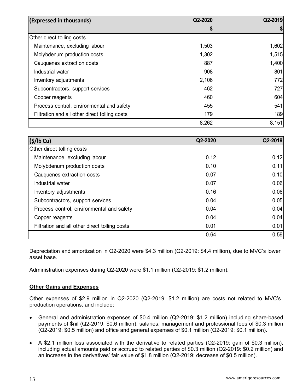| (Expressed in thousands)                      | Q2-2020 | Q2-2019 |
|-----------------------------------------------|---------|---------|
|                                               | \$      |         |
| Other direct tolling costs                    |         |         |
| Maintenance, excluding labour                 | 1,503   | 1,602   |
| Molybdenum production costs                   | 1,302   | 1,515   |
| Cauquenes extraction costs                    | 887     | 1,400   |
| Industrial water                              | 908     | 801     |
| Inventory adjustments                         | 2,106   | 772     |
| Subcontractors, support services              | 462     | 727     |
| Copper reagents                               | 460     | 604     |
| Process control, environmental and safety     | 455     | 541     |
| Filtration and all other direct tolling costs | 179     | 189     |
|                                               | 8,262   | 8,151   |

| (S/lb Cu)                                     | Q2-2020 | Q2-2019 |
|-----------------------------------------------|---------|---------|
| Other direct tolling costs                    |         |         |
| Maintenance, excluding labour                 | 0.12    | 0.12    |
| Molybdenum production costs                   | 0.10    | 0.11    |
| Cauquenes extraction costs                    | 0.07    | 0.10    |
| Industrial water                              | 0.07    | 0.06    |
| Inventory adjustments                         | 0.16    | 0.06    |
| Subcontractors, support services              | 0.04    | 0.05    |
| Process control, environmental and safety     | 0.04    | 0.04    |
| Copper reagents                               | 0.04    | 0.04    |
| Filtration and all other direct tolling costs | 0.01    | 0.01    |
|                                               | 0.64    | 0.59    |

Depreciation and amortization in Q2-2020 were \$4.3 million (Q2-2019: \$4.4 million), due to MVC's lower asset base.

Administration expenses during Q2-2020 were \$1.1 million (Q2-2019: \$1.2 million).

# **Other Gains and Expenses**

Other expenses of \$2.9 million in Q2-2020 (Q2-2019: \$1.2 million) are costs not related to MVC's production operations, and include:

- General and administration expenses of \$0.4 million (Q2-2019: \$1.2 million) including share-based payments of \$nil (Q2-2019: \$0.6 million), salaries, management and professional fees of \$0.3 million (Q2-2019: \$0.5 million) and office and general expenses of \$0.1 million (Q2-2019: \$0.1 million).
- A \$2.1 million loss associated with the derivative to related parties (Q2-2019: gain of \$0.3 million), including actual amounts paid or accrued to related parties of \$0.3 million (Q2-2019: \$0.2 million) and an increase in the derivatives' fair value of \$1.8 million (Q2-2019: decrease of \$0.5 million).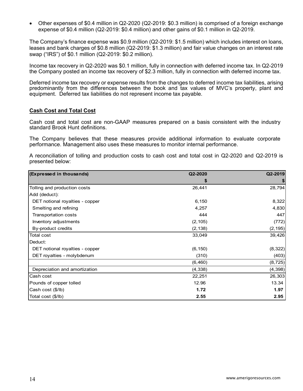Other expenses of \$0.4 million in Q2-2020 (Q2-2019: \$0.3 million) is comprised of a foreign exchange expense of \$0.4 million (Q2-2019: \$0.4 million) and other gains of \$0.1 million in Q2-2019.

The Company's finance expense was \$0.9 million (Q2-2019: \$1.5 million) which includes interest on loans, leases and bank charges of \$0.8 million (Q2-2019: \$1.3 million) and fair value changes on an interest rate swap ("IRS") of \$0.1 million (Q2-2019: \$0.2 million).

Income tax recovery in Q2-2020 was \$0.1 million, fully in connection with deferred income tax. In Q2-2019 the Company posted an income tax recovery of \$2.3 million, fully in connection with deferred income tax.

Deferred income tax recovery or expense results from the changes to deferred income tax liabilities, arising predominantly from the differences between the book and tax values of MVC's property, plant and equipment. Deferred tax liabilities do not represent income tax payable.

#### **Cash Cost and Total Cost**

Cash cost and total cost are non-GAAP measures prepared on a basis consistent with the industry standard Brook Hunt definitions.

The Company believes that these measures provide additional information to evaluate corporate performance. Management also uses these measures to monitor internal performance.

A reconciliation of tolling and production costs to cash cost and total cost in Q2-2020 and Q2-2019 is presented below:

| (Expressed in thousands)        | Q2-2020  | Q2-2019  |
|---------------------------------|----------|----------|
|                                 | \$       | \$       |
| Tolling and production costs    | 26,441   | 28,794   |
| Add (deduct):                   |          |          |
| DET notional royalties - copper | 6,150    | 8,322    |
| Smelting and refining           | 4,257    | 4,830    |
| Transportation costs            | 444      | 447      |
| Inventory adjustments           | (2, 105) | (772)    |
| By-product credits              | (2, 138) | (2, 195) |
| <b>Total cost</b>               | 33,049   | 39,426   |
| Deduct:                         |          |          |
| DET notional royalties - copper | (6, 150) | (8,322)  |
| DET royalties - molybdenum      | (310)    | (403)    |
|                                 | (6, 460) | (8, 725) |
| Depreciation and amortization   | (4, 338) | (4, 398) |
| Cash cost                       | 22,251   | 26,303   |
| Pounds of copper tolled         | 12.96    | 13.34    |
| Cash cost (\$/lb)               | 1.72     | 1.97     |
| Total cost (\$/lb)              | 2.55     | 2.95     |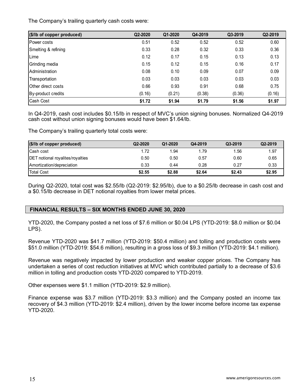The Company's trailing quarterly cash costs were:

| (\$/lb of copper produced) | Q2-2020 | Q1-2020 | Q4-2019 | Q3-2019 | Q2-2019 |
|----------------------------|---------|---------|---------|---------|---------|
| Power costs                | 0.51    | 0.52    | 0.52    | 0.52    | 0.60    |
| Smelting & refining        | 0.33    | 0.28    | 0.32    | 0.33    | 0.36    |
| Lime                       | 0.12    | 0.17    | 0.15    | 0.13    | 0.13    |
| Grinding media             | 0.15    | 0.12    | 0.15    | 0.16    | 0.17    |
| Administration             | 0.08    | 0.10    | 0.09    | 0.07    | 0.09    |
| Transportation             | 0.03    | 0.03    | 0.03    | 0.03    | 0.03    |
| Other direct costs         | 0.66    | 0.93    | 0.91    | 0.68    | 0.75    |
| By-product credits         | (0.16)  | (0.21)  | (0.38)  | (0.36)  | (0.16)  |
| Cash Cost                  | \$1.72  | \$1.94  | \$1.79  | \$1.56  | \$1.97  |

In Q4-2019, cash cost includes \$0.15/lb in respect of MVC's union signing bonuses. Normalized Q4-2019 cash cost without union signing bonuses would have been \$1.64/lb.

The Company's trailing quarterly total costs were:

| $(\$$ /lb of copper produced)           | Q2-2020 | Q1-2020 | Q4-2019 | Q3-2019 | Q2-2019 |
|-----------------------------------------|---------|---------|---------|---------|---------|
| Cash cost                               | 1.72    | 1.94    | 1.79    | 1.56    | 1.97    |
| <b>DET</b> notional royalites/royalties | 0.50    | 0.50    | 0.57    | 0.60    | 0.65    |
| Amortization/depreciation               | 0.33    | 0.44    | 0.28    | 0.27    | 0.33    |
| <b>Total Cost</b>                       | \$2.55  | \$2.88  | \$2.64  | \$2.43  | \$2.95  |

During Q2-2020, total cost was \$2.55/lb (Q2-2019: \$2.95/lb), due to a \$0.25/lb decrease in cash cost and a \$0.15/lb decrease in DET notional royalties from lower metal prices.

## **FINANCIAL RESULTS – SIX MONTHS ENDED JUNE 30, 2020**

YTD-2020, the Company posted a net loss of \$7.6 million or \$0.04 LPS (YTD-2019: \$8.0 million or \$0.04 LPS).

Revenue YTD-2020 was \$41.7 million (YTD-2019: \$50.4 million) and tolling and production costs were \$51.0 million (YTD-2019: \$54.6 million), resulting in a gross loss of \$9.3 million (YTD-2019: \$4.1 million).

Revenue was negatively impacted by lower production and weaker copper prices. The Company has undertaken a series of cost reduction initiatives at MVC which contributed partially to a decrease of \$3.6 million in tolling and production costs YTD-2020 compared to YTD-2019.

Other expenses were \$1.1 million (YTD-2019: \$2.9 million).

Finance expense was \$3.7 million (YTD-2019: \$3.3 million) and the Company posted an income tax recovery of \$4.3 million (YTD-2019: \$2.4 million), driven by the lower income before income tax expense YTD-2020.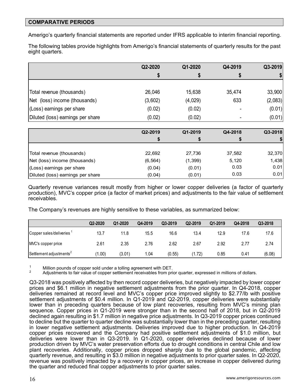### **COMPARATIVE PERIODS**

Amerigo's quarterly financial statements are reported under IFRS applicable to interim financial reporting.

The following tables provide highlights from Amerigo's financial statements of quarterly results for the past eight quarters.

|                                   | Q2-2020 | Q1-2020 | Q4-2019 | Q3-2019 |
|-----------------------------------|---------|---------|---------|---------|
|                                   |         |         | S       |         |
|                                   |         |         |         |         |
| Total revenue (thousands)         | 26,046  | 15,638  | 35,474  | 33,900  |
| Net (loss) income (thousands)     | (3,602) | (4,029) | 633     | (2,083) |
| (Loss) earnings per share         | (0.02)  | (0.02)  |         | (0.01)  |
| Diluted (loss) earnings per share | (0.02)  | (0.02)  |         | (0.01)  |
|                                   |         |         |         |         |

|                                   | Q2-2019  | Q1-2019  | Q4-2018 | Q3-2018 |
|-----------------------------------|----------|----------|---------|---------|
|                                   |          | \$       | \$      |         |
|                                   |          |          |         |         |
| Total revenue (thousands)         | 22,692   | 27,736   | 37,582  | 32,370  |
| Net (loss) income (thousands)     | (6, 564) | (1, 399) | 5,120   | 1,438   |
| (Loss) earnings per share         | (0.04)   | (0.01)   | 0.03    | 0.01    |
| Diluted (loss) earnings per share | (0.04)   | (0.01)   | 0.03    | 0.01    |

Quarterly revenue variances result mostly from higher or lower copper deliveries (a factor of quarterly production), MVC's copper price (a factor of market prices) and adjustments to the fair value of settlement receivables.

The Company's revenues are highly sensitive to these variables, as summarized below:

|                                      | Q2-2020 | Q1-2020 | Q4-2019 | Q3-2019 | Q2-2019 | Q1-2019 | Q4-2018 | Q3-2018 |
|--------------------------------------|---------|---------|---------|---------|---------|---------|---------|---------|
| Copper sales/deliveries <sup>1</sup> | 13.7    | 11.8    | 15.5    | 16.6    | 13.4    | 12.9    | 17.6    | 17.6    |
| MVC's copper price                   | 2.61    | 2.35    | 2.76    | 2.62    | 2.67    | 2.92    | 2.77    | 2.74    |
| Settlement adjustments <sup>2</sup>  | (1.00)  | (3.01)  | 1.04    | (0.55)  | (1.72)  | 0.85    | 0.41    | (6.08)  |

<sup>1</sup> Million pounds of copper sold under a tolling agreement with DET.<br><sup>2</sup> Adjustments to fair value of copper settlement receivables from prior quarter, expressed in millions of dollars.

Q3-2018 was positively affected by then record copper deliveries, but negatively impacted by lower copper prices and \$6.1 million in negative settlement adjustments from the prior quarter. In Q4-2018, copper deliveries remained at record level and MVC's copper price improved slightly to \$2.77/lb with positive settlement adjustments of \$0.4 million. In Q1-2019 and Q2-2019, copper deliveries were substantially lower than in preceding quarters because of low plant recoveries, resulting from MVC's mining plan sequence. Copper prices in Q1-2019 were stronger than in the second half of 2018, but in Q2-2019 declined again resulting in \$1.7 million in negative price adjustments. In Q3-2019 copper prices continued to decline but the quarter to quarter decline was substantially lower than in the preceding quarter, resulting in lower negative settlement adjustments. Deliveries improved due to higher production. In Q4-2019 copper prices recovered and the Company had positive settlement adjustments of \$1.0 million, but deliveries were lower than in Q3-2019. In Q1-2020, copper deliveries declined because of lower production driven by MVC's water preservation efforts due to drought conditions in central Chile and low plant recoveries. Additionally, copper prices dropped sharply due to the global pandemic, affecting quarterly revenue, and resulting in \$3.0 million in negative adjustments to prior quarter sales. In Q2-2020, revenue was positively impacted by a recovery in copper prices, an increase in copper delivered during the quarter and reduced final copper adjustments to prior quarter sales.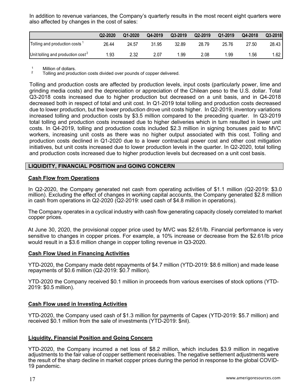In addition to revenue variances, the Company's quarterly results in the most recent eight quarters were also affected by changes in the cost of sales:

|                                           | Q2-2020 | Q1-2020 | Q4-2019 | Q3-2019 | Q2-2019 | Q1-2019 | Q4-2018 | Q3-2018 |
|-------------------------------------------|---------|---------|---------|---------|---------|---------|---------|---------|
| Tolling and production costs <sup>1</sup> | 26.44   | 24.57   | 31.95   | 32.89   | 28.79   | 25.76   | 27.50   | 28.43   |
| Unit tolling and production $cost^2$      | 1.93    | 2.32    | 2.07    | .99     | 2.08    | .99     | 1.56    | 1.62    |

 $\frac{1}{2}$  Million of dollars.

2 Tolling and production costs divided over pounds of copper delivered.

Tolling and production costs are affected by production levels, input costs (particularly power, lime and grinding media costs) and the depreciation or appreciation of the Chilean peso to the U.S. dollar. Total Q3-2018 costs increased due to higher production but decreased on a unit basis, and in Q4-2018 decreased both in respect of total and unit cost. In Q1-2019 total tolling and production costs decreased due to lower production, but the lower production drove unit costs higher. In Q2-2019, inventory variations increased tolling and production costs by \$3.5 million compared to the preceding quarter. In Q3-2019 total tolling and production costs increased due to higher deliveries which in turn resulted in lower unit costs. In Q4-2019, tolling and production costs included \$2.3 million in signing bonuses paid to MVC workers, increasing unit costs as there was no higher output associated with this cost. Tolling and production costs declined in Q1-2020 due to a lower contractual power cost and other cost mitigation initiatives, but unit costs increased due to lower production levels in the quarter. In Q2-2020, total tolling and production costs increased due to higher production levels but decreased on a unit cost basis.

## **LIQUIDITY, FINANCIAL POSITION and GOING CONCERN**

#### **Cash Flow from Operations**

In Q2-2020, the Company generated net cash from operating activities of \$1.1 million (Q2-2019: \$3.0 million). Excluding the effect of changes in working capital accounts, the Company generated \$2.8 million in cash from operations in Q2-2020 (Q2-2019: used cash of \$4.8 million in operations).

The Company operates in a cyclical industry with cash flow generating capacity closely correlated to market copper prices.

At June 30, 2020, the provisional copper price used by MVC was \$2.61/lb. Financial performance is very sensitive to changes in copper prices. For example, a 10% increase or decrease from the \$2.61/lb price would result in a \$3.6 million change in copper tolling revenue in Q3-2020.

#### **Cash Flow Used in Financing Activities**

YTD-2020, the Company made debt repayments of \$4.7 million (YTD-2019: \$8.6 million) and made lease repayments of \$0.6 million (Q2-2019: \$0.7 million).

YTD-2020 the Company received \$0.1 million in proceeds from various exercises of stock options (YTD-2019: \$0.5 million).

## **Cash Flow used in Investing Activities**

YTD-2020, the Company used cash of \$1.3 million for payments of Capex (YTD-2019: \$5.7 million) and received \$0.1 million from the sale of investments (YTD-2019: \$nil).

#### **Liquidity, Financial Position and Going Concern**

YTD-2020, the Company incurred a net loss of \$8.2 million, which includes \$3.9 million in negative adjustments to the fair value of copper settlement receivables. The negative settlement adjustments were the result of the sharp decline in market copper prices during the period in response to the global COVID-19 pandemic.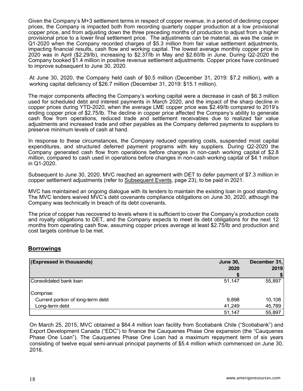Given the Company's M+3 settlement terms in respect of copper revenue, in a period of declining copper prices, the Company is impacted both from recording quarterly copper production at a low provisional copper price, and from adjusting down the three preceding months of production to adjust from a higher provisional price to a lower final settlement price. The adjustments can be material, as was the case in Q1-2020 when the Company recorded charges of \$5.3 million from fair value settlement adjustments, impacting financial results, cash flow and working capital. The lowest average monthly copper price in 2020 was in April (\$2.29/lb), increasing to \$2.37/lb in May and \$2.60/lb in June. During Q2-2020 the Company booked \$1.4 million in positive revenue settlement adjustments. Copper prices have continued to improve subsequent to June 30, 2020.

At June 30, 2020, the Company held cash of \$0.5 million (December 31, 2019: \$7.2 million), with a working capital deficiency of \$26.7 million (December 31, 2019: \$15.1 million).

The major components affecting the Company's working capital were a decrease in cash of \$6.3 million used for scheduled debt and interest payments in March 2020, and the impact of the sharp decline in copper prices during YTD-2020, when the average LME copper price was \$2.49/lb compared to 2019's ending copper price of \$2.75/lb. The decline in copper price affected the Company's ability to generate cash flow from operations, reduced trade and settlement receivables due to realized fair value adjustments and increased trade and other payables as the Company deferred payments to suppliers to preserve minimum levels of cash at hand.

In response to these circumstances, the Company reduced operating costs, suspended most capital expenditures, and structured deferred payment programs with key suppliers. During Q2-2020 the Company generated cash flow from operations before changes in non-cash working capital of \$2.8 million, compared to cash used in operations before changes in non-cash working capital of \$4.1 million in Q1-2020.

Subsequent to June 30, 2020, MVC reached an agreement with DET to defer payment of \$7.3 million in copper settlement adjustments (refer to Subsequent Events, page 23), to be paid in 2021.

MVC has maintained an ongoing dialogue with its lenders to maintain the existing loan in good standing. The MVC lenders waived MVC's debt covenants compliance obligations on June 30, 2020, although the Company was technically in breach of its debt covenants.

The price of copper has recovered to levels where it is sufficient to cover the Company's production costs and royalty obligations to DET, and the Company expects to meet its debt obligations for the next 12 months from operating cash flow, assuming copper prices average at least \$2.75/lb and production and cost targets continue to be met.

## **Borrowings**

| (Expressed in thousands)          | <b>June 30,</b> | December 31, |
|-----------------------------------|-----------------|--------------|
|                                   | 2020            | 2019         |
|                                   |                 |              |
| Consolidated bank loan            | 51,147          | 55,897       |
| Comprise:                         |                 |              |
| Current portion of long-term debt | 9,898           | 10,108       |
| Long-term debt                    | 41,249          | 45,789       |
|                                   | 51,147          | 55,897       |

On March 25, 2015, MVC obtained a \$64.4 million loan facility from Scotiabank Chile ("Scotiabank") and Export Development Canada ("EDC") to finance the Cauquenes Phase One expansion (the "Cauquenes Phase One Loan"). The Cauquenes Phase One Loan had a maximum repayment term of six years consisting of twelve equal semi-annual principal payments of \$5.4 million which commenced on June 30, 2016.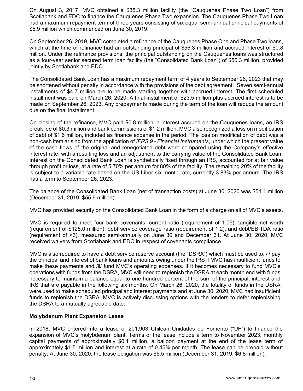On August 3, 2017, MVC obtained a \$35.3 million facility (the "Cauquenes Phase Two Loan") from Scotiabank and EDC to finance the Cauquenes Phase Two expansion. The Cauquenes Phase Two Loan had a maximum repayment term of three years consisting of six equal semi-annual principal payments of \$5.9 million which commenced on June 30, 2019.

On September 26, 2019, MVC completed a refinance of the Cauquenes Phase One and Phase Two loans, which at the time of refinance had an outstanding principal of \$56.3 million and accrued interest of \$0.8 million. Under the refinance provisions, the principal outstanding on the Cauquenes loans was structured as a four-year senior secured term loan facility (the "Consolidated Bank Loan") of \$56.3 million, provided jointly by Scotiabank and EDC.

The Consolidated Bank Loan has a maximum repayment term of 4 years to September 26, 2023 that may be shortened without penalty in accordance with the provisions of the debt agreement. Seven semi-annual installments of \$4.7 million are to be made starting together with accrued interest. The first scheduled installment was paid on March 26, 2020. A final installment of \$23.5 million plus accrued interest is to be made on September 26, 2023. Any prepayments made during the term of the loan will reduce the amount due on the final installment.

On closing of the refinance, MVC paid \$0.8 million in interest accrued on the Cauquenes loans, an IRS break fee of \$0.3 million and bank commissions of \$1.2 million. MVC also recognized a loss on modification of debt of \$1.6 million, included as finance expense in the period. The loss on modification of debt was a non-cash item arising from the application of *IFRS 9 - Financial Instruments*, under which the present value of the cash flows of the original and renegotiated debt were compared using the Company's effective interest rate, with a resulting loss and an adjustment to the carrying value of the Consolidated Bank Loan. Interest on the Consolidated Bank Loan is synthetically fixed through an IRS, accounted for at fair value through profit or loss, at a rate of 5.70% per annum for 80% of the facility. The remaining 20% of the facility is subject to a variable rate based on the US Libor six-month rate, currently 3.83% per annum. The IRS has a term to September 26, 2023.

The balance of the Consolidated Bank Loan (net of transaction costs) at June 30, 2020 was \$51.1 million (December 31, 2019: \$55.9 million).

MVC has provided security on the Consolidated Bank Loan in the form of a charge on all of MVC's assets.

MVC is required to meet four bank covenants: current ratio (requirement of 1.05), tangible net worth (requirement of \$125.0 million), debt service coverage ratio (requirement of 1.2), and debt/EBITDA ratio (requirement of <3), measured semi-annually on June 30 and December 31. At June 30, 2020, MVC received waivers from Scotiabank and EDC in respect of covenants compliance.

MVC is also required to have a debt service reserve account (the "DSRA") which must be used to: /i/ pay the principal and interest of bank loans and amounts owing under the IRS if MVC has insufficient funds to make these payments and /ii/ fund MVC's operating expenses. If it becomes necessary to fund MVC's operations with funds from the DSRA, MVC will need to replenish the DSRA at each month end with funds necessary to maintain a balance equal to one hundred percent of the sum of the principal, interest and IRS that are payable in the following six months. On March 26, 2020, the totality of funds in the DSRA were used to make scheduled principal and interest payments and at June 30, 2020, MVC had insufficient funds to replenish the DSRA. MVC is actively discussing options with the lenders to defer replenishing the DSRA to a mutually agreeable date.

## **Molybdenum Plant Expansion Lease**

In 2018, MVC entered into a lease of 201,903 Chilean Unidades de Fomento ("UF") to finance the expansion of MVC's molybdenum plant. Terms of the lease include a term to November 2023, monthly capital payments of approximately \$0.1 million, a balloon payment at the end of the lease term of approximately \$1.5 million and interest at a rate of 0.45% per month. The lease can be prepaid without penalty. At June 30, 2020, the lease obligation was \$5.5 million (December 31, 2019: \$6.8 million).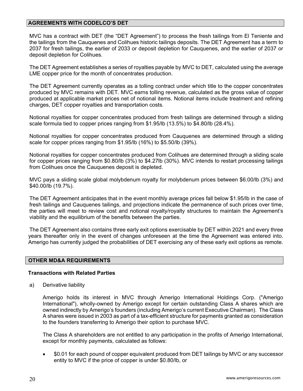## **AGREEMENTS WITH CODELCO'S DET**

MVC has a contract with DET (the "DET Agreement") to process the fresh tailings from El Teniente and the tailings from the Cauquenes and Colihues historic tailings deposits. The DET Agreement has a term to 2037 for fresh tailings, the earlier of 2033 or deposit depletion for Cauquenes, and the earlier of 2037 or deposit depletion for Colihues.

The DET Agreement establishes a series of royalties payable by MVC to DET, calculated using the average LME copper price for the month of concentrates production.

The DET Agreement currently operates as a tolling contract under which title to the copper concentrates produced by MVC remains with DET. MVC earns tolling revenue, calculated as the gross value of copper produced at applicable market prices net of notional items. Notional items include treatment and refining charges, DET copper royalties and transportation costs.

Notional royalties for copper concentrates produced from fresh tailings are determined through a sliding scale formula tied to copper prices ranging from \$1.95/lb (13.5%) to \$4.80/lb (28.4%).

Notional royalties for copper concentrates produced from Cauquenes are determined through a sliding scale for copper prices ranging from \$1.95/lb (16%) to \$5.50/lb (39%).

Notional royalties for copper concentrates produced from Colihues are determined through a sliding scale for copper prices ranging from \$0.80/lb (3%) to \$4.27lb (30%). MVC intends to restart processing tailings from Colihues once the Cauquenes deposit is depleted.

MVC pays a sliding scale global molybdenum royalty for molybdenum prices between \$6.00/lb (3%) and \$40.00/lb (19.7%).

The DET Agreement anticipates that in the event monthly average prices fall below \$1.95/lb in the case of fresh tailings and Cauquenes tailings, and projections indicate the permanence of such prices over time, the parties will meet to review cost and notional royalty/royalty structures to maintain the Agreement's viability and the equilibrium of the benefits between the parties.

The DET Agreement also contains three early exit options exercisable by DET within 2021 and every three years thereafter only in the event of changes unforeseen at the time the Agreement was entered into. Amerigo has currently judged the probabilities of DET exercising any of these early exit options as remote.

#### **OTHER MD&A REQUIREMENTS**

#### **Transactions with Related Parties**

a) Derivative liability

Amerigo holds its interest in MVC through Amerigo International Holdings Corp. ("Amerigo International"), wholly-owned by Amerigo except for certain outstanding Class A shares which are owned indirectly by Amerigo's founders (including Amerigo's current Executive Chairman). The Class A shares were issued in 2003 as part of a tax-efficient structure for payments granted as consideration to the founders transferring to Amerigo their option to purchase MVC.

The Class A shareholders are not entitled to any participation in the profits of Amerigo International, except for monthly payments, calculated as follows:

 \$0.01 for each pound of copper equivalent produced from DET tailings by MVC or any successor entity to MVC if the price of copper is under \$0.80/lb, or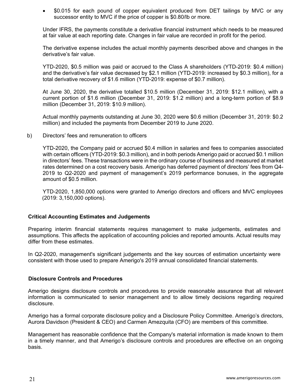\$0.015 for each pound of copper equivalent produced from DET tailings by MVC or any successor entity to MVC if the price of copper is \$0.80/lb or more.

Under IFRS, the payments constitute a derivative financial instrument which needs to be measured at fair value at each reporting date. Changes in fair value are recorded in profit for the period.

The derivative expense includes the actual monthly payments described above and changes in the derivative's fair value.

YTD-2020, \$0.5 million was paid or accrued to the Class A shareholders (YTD-2019: \$0.4 million) and the derivative's fair value decreased by \$2.1 million (YTD-2019: increased by \$0.3 million), for a total derivative recovery of \$1.6 million (YTD-2019: expense of \$0.7 million).

At June 30, 2020, the derivative totalled \$10.5 million (December 31, 2019: \$12.1 million), with a current portion of \$1.6 million (December 31, 2019: \$1.2 million) and a long-term portion of \$8.9 million (December 31, 2019: \$10.9 million).

Actual monthly payments outstanding at June 30, 2020 were \$0.6 million (December 31, 2019: \$0.2 million) and included the payments from December 2019 to June 2020.

b) Directors' fees and remuneration to officers

 YTD-2020, the Company paid or accrued \$0.4 million in salaries and fees to companies associated with certain officers (YTD-2019: \$0.3 million), and in both periods Amerigo paid or accrued \$0.1 million in directors' fees. These transactions were in the ordinary course of business and measured at market rates determined on a cost recovery basis. Amerigo has deferred payment of directors' fees from Q4- 2019 to Q2-2020 and payment of management's 2019 performance bonuses, in the aggregate amount of \$0.5 million.

 YTD-2020, 1,850,000 options were granted to Amerigo directors and officers and MVC employees (2019: 3,150,000 options).

#### **Critical Accounting Estimates and Judgements**

Preparing interim financial statements requires management to make judgements, estimates and assumptions. This affects the application of accounting policies and reported amounts. Actual results may differ from these estimates.

In Q2-2020, management's significant judgements and the key sources of estimation uncertainty were consistent with those used to prepare Amerigo's 2019 annual consolidated financial statements.

#### **Disclosure Controls and Procedures**

Amerigo designs disclosure controls and procedures to provide reasonable assurance that all relevant information is communicated to senior management and to allow timely decisions regarding required disclosure.

Amerigo has a formal corporate disclosure policy and a Disclosure Policy Committee. Amerigo's directors, Aurora Davidson (President & CEO) and Carmen Amezquita (CFO) are members of this committee.

Management has reasonable confidence that the Company's material information is made known to them in a timely manner, and that Amerigo's disclosure controls and procedures are effective on an ongoing basis.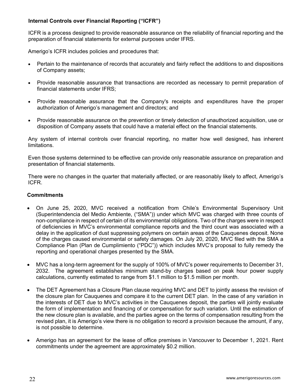## **Internal Controls over Financial Reporting ("ICFR")**

ICFR is a process designed to provide reasonable assurance on the reliability of financial reporting and the preparation of financial statements for external purposes under IFRS.

Amerigo's ICFR includes policies and procedures that:

- Pertain to the maintenance of records that accurately and fairly reflect the additions to and dispositions of Company assets;
- Provide reasonable assurance that transactions are recorded as necessary to permit preparation of financial statements under IFRS;
- Provide reasonable assurance that the Company's receipts and expenditures have the proper authorization of Amerigo's management and directors; and
- Provide reasonable assurance on the prevention or timely detection of unauthorized acquisition, use or disposition of Company assets that could have a material effect on the financial statements.

Any system of internal controls over financial reporting, no matter how well designed, has inherent limitations.

Even those systems determined to be effective can provide only reasonable assurance on preparation and presentation of financial statements.

There were no changes in the quarter that materially affected, or are reasonably likely to affect, Amerigo's ICFR.

## **Commitments**

- On June 25, 2020, MVC received a notification from Chile's Environmental Supervisory Unit (Superintendencia del Medio Ambiente, ("SMA")) under which MVC was charged with three counts of non-compliance in respect of certain of its environmental obligations. Two of the charges were in respect of deficiencies in MVC's environmental compliance reports and the third count was associated with a delay in the application of dust suppressing polymers on certain areas of the Cauquenes deposit. None of the charges caused environmental or safety damages. On July 20, 2020, MVC filed with the SMA a Compliance Plan (Plan de Cumplimiento ("PDC")) which includes MVC's proposal to fully remedy the reporting and operational charges presented by the SMA.
- MVC has a long-term agreement for the supply of 100% of MVC's power requirements to December 31, 2032. The agreement establishes minimum stand-by charges based on peak hour power supply calculations, currently estimated to range from \$1.1 million to \$1.5 million per month.
- The DET Agreement has a Closure Plan clause requiring MVC and DET to jointly assess the revision of the closure plan for Cauquenes and compare it to the current DET plan. In the case of any variation in the interests of DET due to MVC's activities in the Cauquenes deposit, the parties will jointly evaluate the form of implementation and financing of or compensation for such variation. Until the estimation of the new closure plan is available, and the parties agree on the terms of compensation resulting from the revised plan, it is Amerigo's view there is no obligation to record a provision because the amount, if any, is not possible to determine.
- Amerigo has an agreement for the lease of office premises in Vancouver to December 1, 2021. Rent commitments under the agreement are approximately \$0.2 million.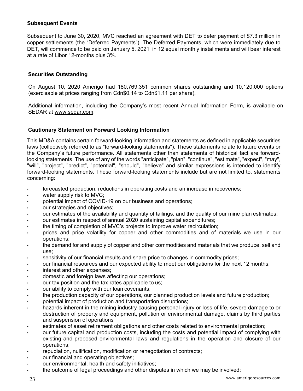## **Subsequent Events**

Subsequent to June 30, 2020, MVC reached an agreement with DET to defer payment of \$7.3 million in copper settlements (the "Deferred Payments"). The Deferred Payments, which were immediately due to DET, will commence to be paid on January 5, 2021 in 12 equal monthly installments and will bear interest at a rate of Libor 12-months plus 3%.

## **Securities Outstanding**

On August 10, 2020 Amerigo had 180,769,351 common shares outstanding and 10,120,000 options (exercisable at prices ranging from Cdn\$0.14 to Cdn\$1.11 per share).

Additional information, including the Company's most recent Annual Information Form, is available on SEDAR at www.sedar.com.

## **Cautionary Statement on Forward Looking Information**

This MD&A contains certain forward-looking information and statements as defined in applicable securities laws (collectively referred to as "forward-looking statements"). These statements relate to future events or the Company's future performance. All statements other than statements of historical fact are forwardlooking statements. The use of any of the words "anticipate", "plan", "continue", "estimate", "expect", "may", "will", "project", "predict", "potential", "should", "believe" and similar expressions is intended to identify forward-looking statements. These forward-looking statements include but are not limited to, statements concerning:

- forecasted production, reductions in operating costs and an increase in recoveries;
- water supply risk to MVC;
- potential impact of COVID-19 on our business and operations;
- our strategies and objectives;
- our estimates of the availability and quantity of tailings, and the quality of our mine plan estimates;
- our estimates in respect of annual 2020 sustaining capital expenditures;
- the timing of completion of MVC's projects to improve water recirculation;
- prices and price volatility for copper and other commodities and of materials we use in our operations;
- the demand for and supply of copper and other commodities and materials that we produce, sell and use;
- sensitivity of our financial results and share price to changes in commodity prices;
- our financial resources and our expected ability to meet our obligations for the next 12 months;
- interest and other expenses;
- domestic and foreign laws affecting our operations;
- our tax position and the tax rates applicable to us;
- our ability to comply with our loan covenants;
- the production capacity of our operations, our planned production levels and future production;
- potential impact of production and transportation disruptions;
- hazards inherent in the mining industry causing personal injury or loss of life, severe damage to or destruction of property and equipment, pollution or environmental damage, claims by third parties and suspension of operations
- estimates of asset retirement obligations and other costs related to environmental protection;
- our future capital and production costs, including the costs and potential impact of complying with existing and proposed environmental laws and regulations in the operation and closure of our operations;
- repudiation, nullification, modification or renegotiation of contracts;
- our financial and operating objectives;
- our environmental, health and safety initiatives;
- the outcome of legal proceedings and other disputes in which we may be involved;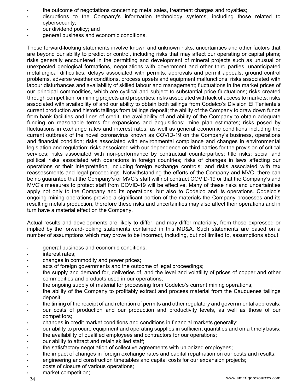- the outcome of negotiations concerning metal sales, treatment charges and royalties;
- disruptions to the Company's information technology systems, including those related to cybersecurity;
- our dividend policy; and
- general business and economic conditions.

These forward-looking statements involve known and unknown risks, uncertainties and other factors that are beyond our ability to predict or control, including risks that may affect our operating or capital plans; risks generally encountered in the permitting and development of mineral projects such as unusual or unexpected geological formations, negotiations with government and other third parties, unanticipated metallurgical difficulties, delays associated with permits, approvals and permit appeals, ground control problems, adverse weather conditions, process upsets and equipment malfunctions; risks associated with labour disturbances and availability of skilled labour and management; fluctuations in the market prices of our principal commodities, which are cyclical and subject to substantial price fluctuations; risks created through competition for mining projects and properties; risks associated with lack of access to markets; risks associated with availability of and our ability to obtain both tailings from Codelco's Division El Teniente's current production and historic tailings from tailings deposit; the ability of the Company to draw down funds from bank facilities and lines of credit, the availability of and ability of the Company to obtain adequate funding on reasonable terms for expansions and acquisitions; mine plan estimates; risks posed by fluctuations in exchange rates and interest rates, as well as general economic conditions including the current outbreak of the novel coronavirus known as COVID-19 on the Company's business, operations and financial condition; risks associated with environmental compliance and changes in environmental legislation and regulation; risks associated with our dependence on third parties for the provision of critical services; risks associated with non-performance by contractual counterparties; title risks; social and political risks associated with operations in foreign countries; risks of changes in laws affecting our operations or their interpretation, including foreign exchange controls; and risks associated with tax reassessments and legal proceedings. Notwithstanding the efforts of the Company and MVC, there can be no guarantee that the Company's or MVC's staff will not contract COVID-19 or that the Company's and MVC's measures to protect staff from COVID-19 will be effective. Many of these risks and uncertainties apply not only to the Company and its operations, but also to Codelco and its operations. Codelco's ongoing mining operations provide a significant portion of the materials the Company processes and its resulting metals production, therefore these risks and uncertainties may also affect their operations and in turn have a material effect on the Company.

Actual results and developments are likely to differ, and may differ materially, from those expressed or implied by the forward-looking statements contained in this MD&A. Such statements are based on a number of assumptions which may prove to be incorrect, including, but not limited to, assumptions about:

- general business and economic conditions;
- interest rates;
- changes in commodity and power prices;
- acts of foreign governments and the outcome of legal proceedings;
- the supply and demand for, deliveries of, and the level and volatility of prices of copper and other commodities and products used in our operations;
- the ongoing supply of material for processing from Codelco's current mining operations;
- the ability of the Company to profitably extract and process material from the Cauquenes tailings deposit;
- the timing of the receipt of and retention of permits and other regulatory and governmental approvals;
- our costs of production and our production and productivity levels, as well as those of our competitors;
- changes in credit market conditions and conditions in financial markets generally;
- our ability to procure equipment and operating supplies in sufficient quantities and on a timely basis;
- the availability of qualified employees and contractors for our operations;
- our ability to attract and retain skilled staff;
- the satisfactory negotiation of collective agreements with unionized employees;
- the impact of changes in foreign exchange rates and capital repatriation on our costs and results;
- engineering and construction timetables and capital costs for our expansion projects;
- costs of closure of various operations;
- market competition;